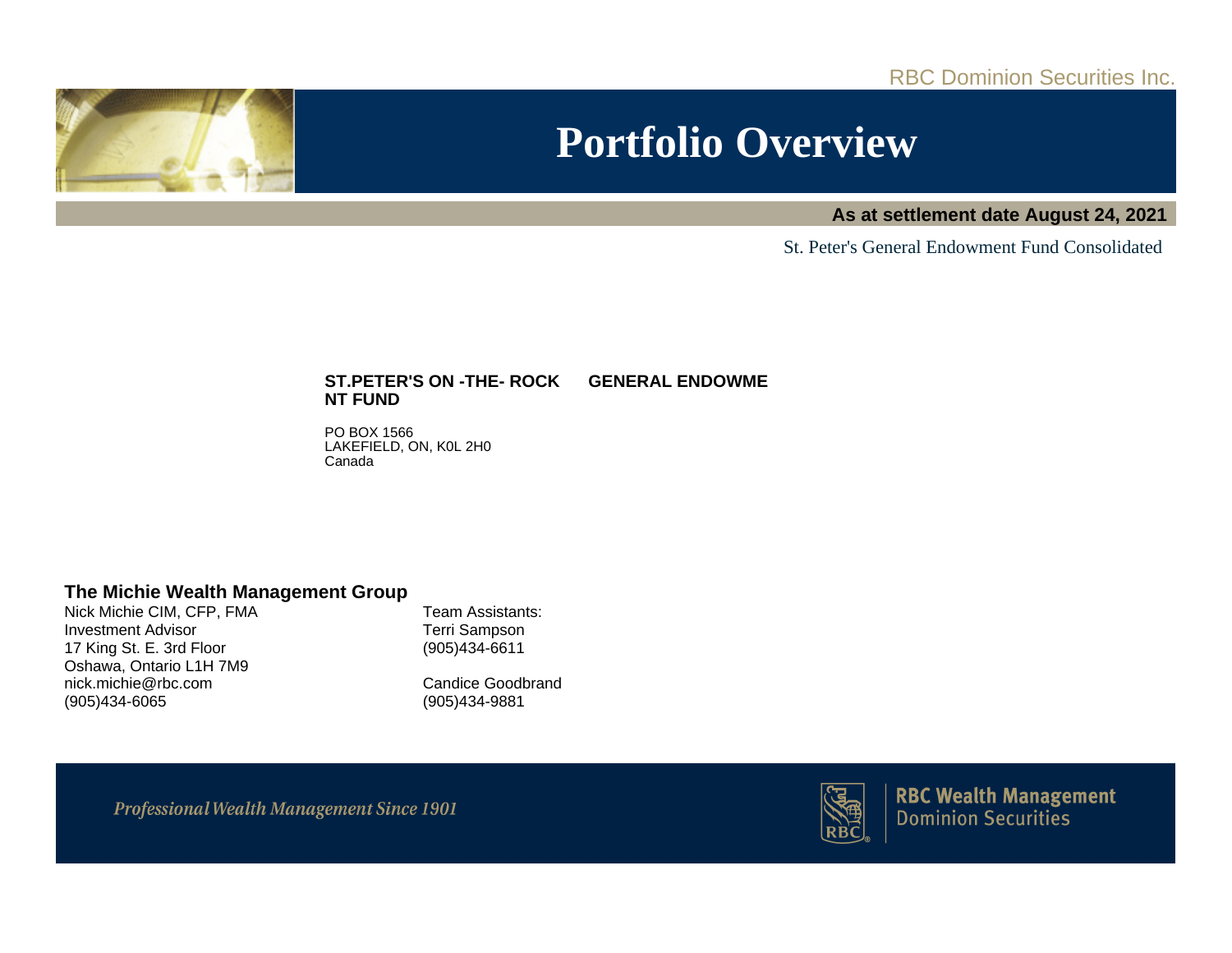RBC Dominion Securities Inc.



# **Portfolio Overview**

**As at settlement date August 24, 2021**

St. Peter's General Endowment Fund Consolidated

## **ST.PETER'S ON -THE- ROCK GENERAL ENDOWME NT FUND**

PO BOX 1566 LAKEFIELD, ON, K0L 2H0 Canada

## **The Michie Wealth Management Group**

Nick Michie CIM, CFP, FMA Investment Advisor 17 King St. E. 3rd Floor Oshawa, Ontario L1H 7M9 nick.michie@rbc.com (905)434-6065

Team Assistants: Terri Sampson (905)434-6611

Candice Goodbrand (905)434-9881

**Professional Wealth Management Since 1901** 



**RBC Wealth Management Dominion Securities**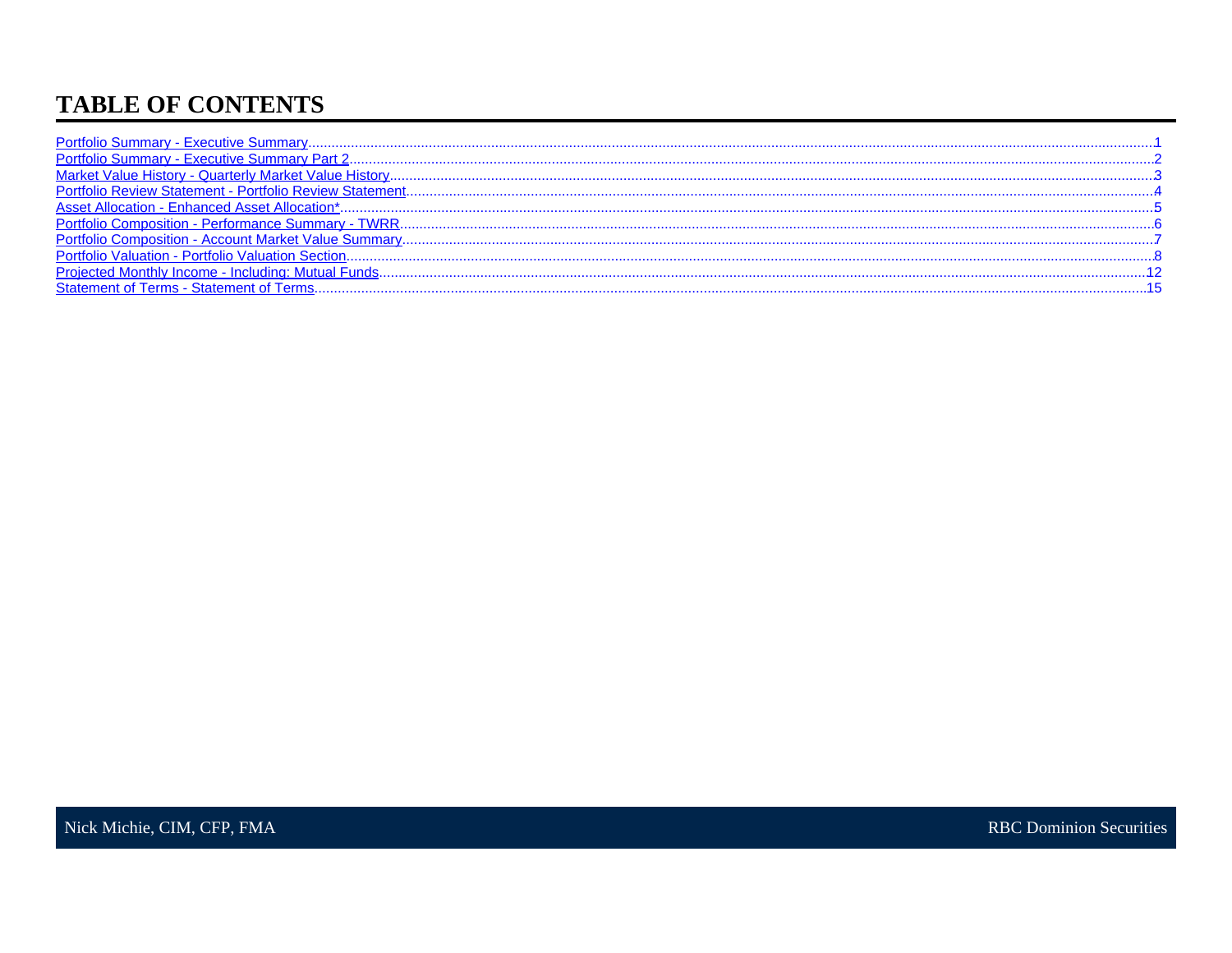# **TABLE OF CONTENTS**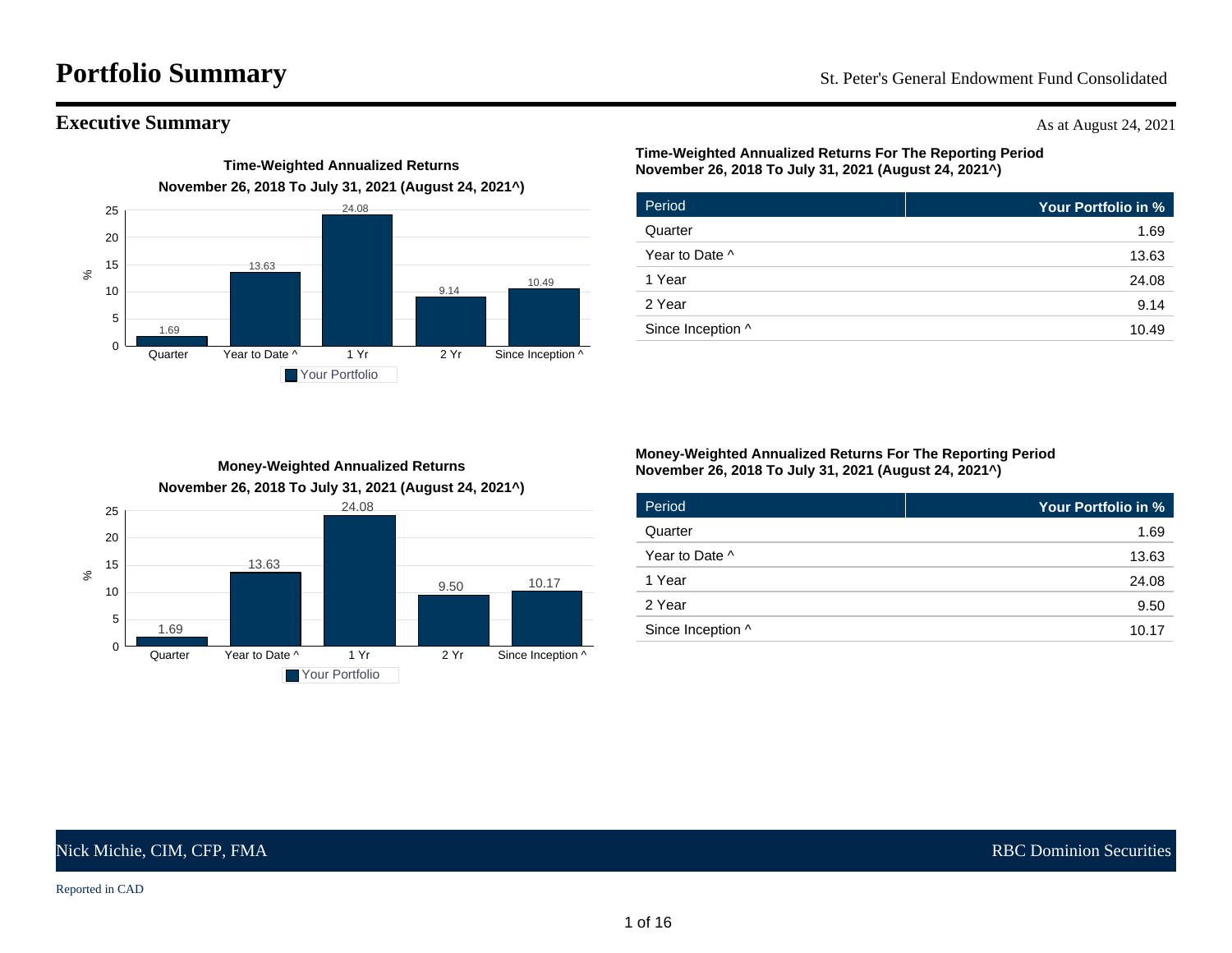# <span id="page-2-0"></span>**Portfolio Summary** St. Peter's General Endowment Fund Consolidated

## **Executive Summary** As at August 24, 2021



## **Time-Weighted Annualized Returns For The Reporting Period November 26, 2018 To July 31, 2021 (August 24, 2021^)**

| Period            | Your Portfolio in % |
|-------------------|---------------------|
| Quarter           | 1.69                |
| Year to Date ^    | 13.63               |
| 1 Year            | 24.08               |
| 2 Year            | 9.14                |
| Since Inception ^ | 10.49               |

## **Money-Weighted Annualized Returns For The Reporting Period November 26, 2018 To July 31, 2021 (August 24, 2021^)**

| Period            | Your Portfolio in % |
|-------------------|---------------------|
| Quarter           | 1.69                |
| Year to Date ^    | 13.63               |
| 1 Year            | 24.08               |
| 2 Year            | 9.50                |
| Since Inception ^ | 10.17               |

### **November 26, 2018 To July 31, 2021 (August 24, 2021^)** Quarter Year to Date ^ 1 Yr 2 Yr Since Inception ^ %0 5 10 15 20 25 1.69 13.63 24.08 9.50 10.17

**Your Portfolio** 

**Money-Weighted Annualized Returns**

# Nick Michie, CIM, CFP, FMA RBC Dominion Securities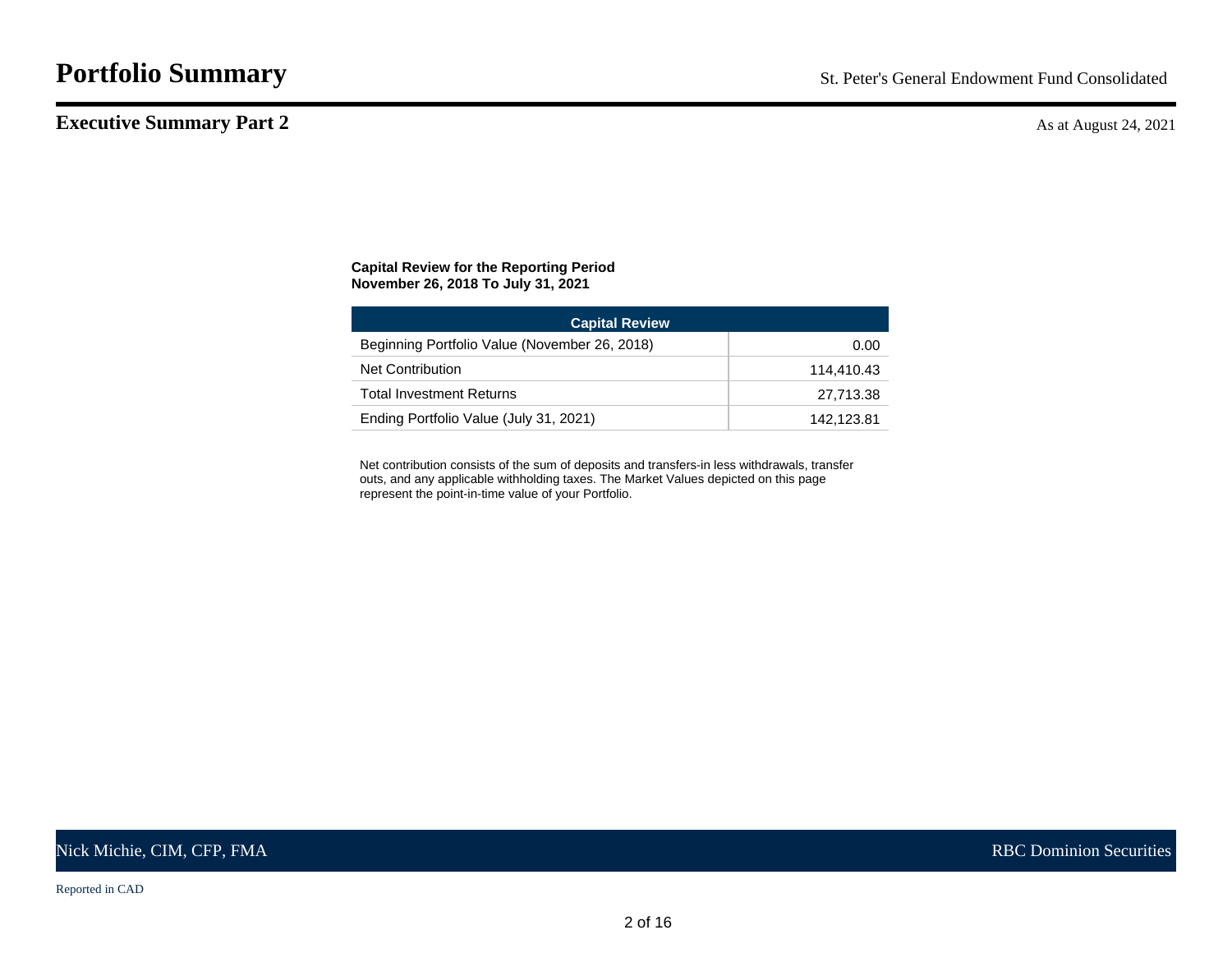# <span id="page-3-0"></span>**Executive Summary Part 2** As at August 24, 2021

### **Capital Review for the Reporting Period November 26, 2018 To July 31, 2021**

| <b>Capital Review</b>                         |            |
|-----------------------------------------------|------------|
| Beginning Portfolio Value (November 26, 2018) | 0.00       |
| <b>Net Contribution</b>                       | 114,410.43 |
| <b>Total Investment Returns</b>               | 27,713.38  |
| Ending Portfolio Value (July 31, 2021)        | 142,123.81 |

Net contribution consists of the sum of deposits and transfers-in less withdrawals, transfer outs, and any applicable withholding taxes. The Market Values depicted on this page represent the point-in-time value of your Portfolio.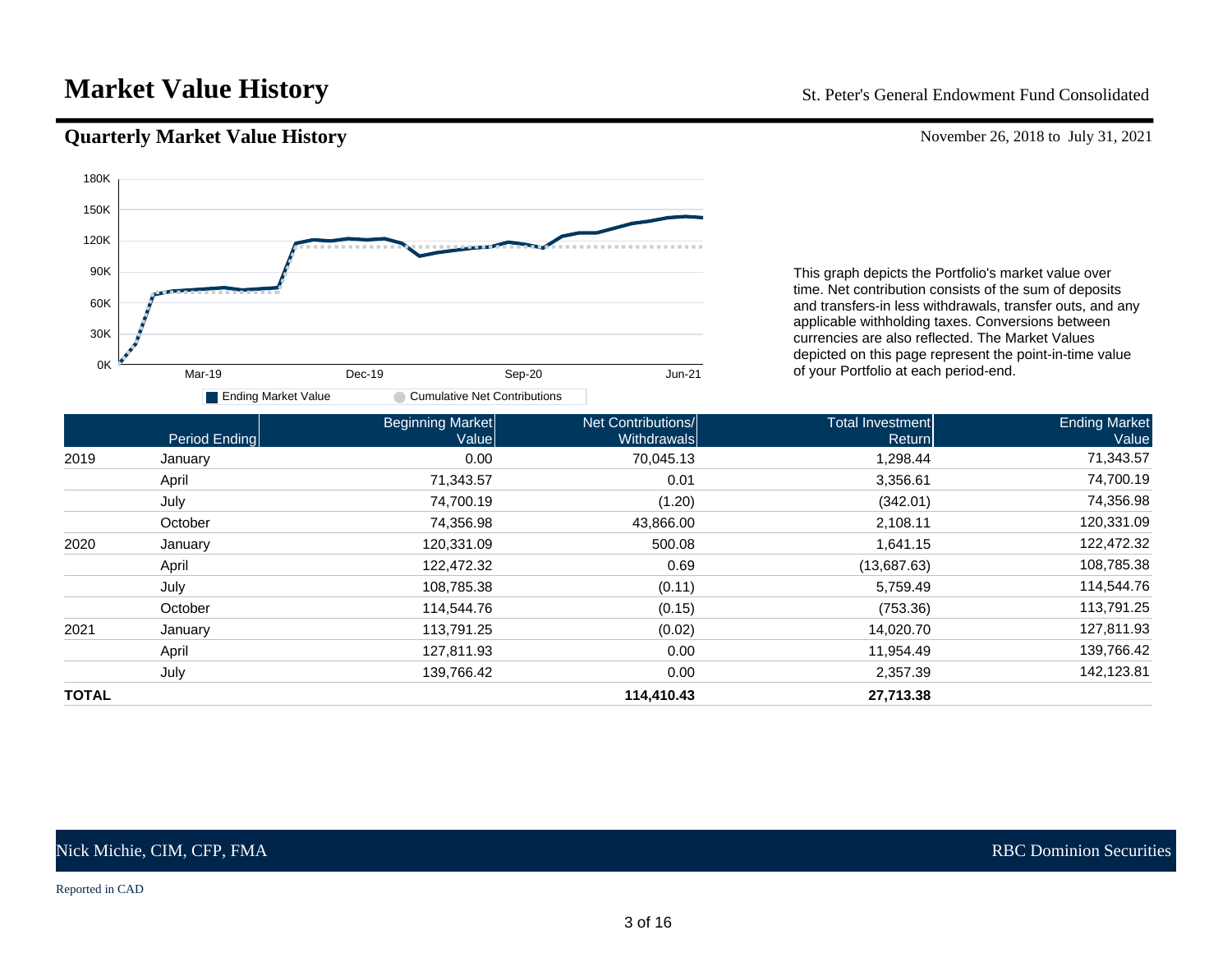# <span id="page-4-0"></span>**Market Value History** St. Peter's General Endowment Fund Consolidated

## **Quarterly Market Value History** November 26, 2018 to July 31, 2021



This graph depicts the Portfolio's market value over time. Net contribution consists of the sum of deposits and transfers-in less withdrawals, transfer outs, and any applicable withholding taxes. Conversions between currencies are also reflected. The Market Values depicted on this page represent the point-in-time value of your Portfolio at each period-end.

|              | Period Ending | <b>Beginning Market</b><br>Value | Net Contributions/<br><b>Withdrawals</b> | Total Investment<br>Return | <b>Ending Market</b><br>Value |
|--------------|---------------|----------------------------------|------------------------------------------|----------------------------|-------------------------------|
| 2019         | January       | 0.00                             | 70,045.13                                | 1,298.44                   | 71,343.57                     |
|              | April         | 71,343.57                        | 0.01                                     | 3,356.61                   | 74,700.19                     |
|              | July          | 74,700.19                        | (1.20)                                   | (342.01)                   | 74,356.98                     |
|              | October       | 74,356.98                        | 43,866.00                                | 2,108.11                   | 120,331.09                    |
| 2020         | January       | 120,331.09                       | 500.08                                   | 1,641.15                   | 122,472.32                    |
|              | April         | 122,472.32                       | 0.69                                     | (13,687.63)                | 108,785.38                    |
|              | July          | 108,785.38                       | (0.11)                                   | 5,759.49                   | 114,544.76                    |
|              | October       | 114,544.76                       | (0.15)                                   | (753.36)                   | 113,791.25                    |
| 2021         | January       | 113,791.25                       | (0.02)                                   | 14,020.70                  | 127,811.93                    |
|              | April         | 127,811.93                       | 0.00                                     | 11,954.49                  | 139,766.42                    |
|              | July          | 139,766.42                       | 0.00                                     | 2,357.39                   | 142,123.81                    |
| <b>TOTAL</b> |               |                                  | 114,410.43                               | 27,713.38                  |                               |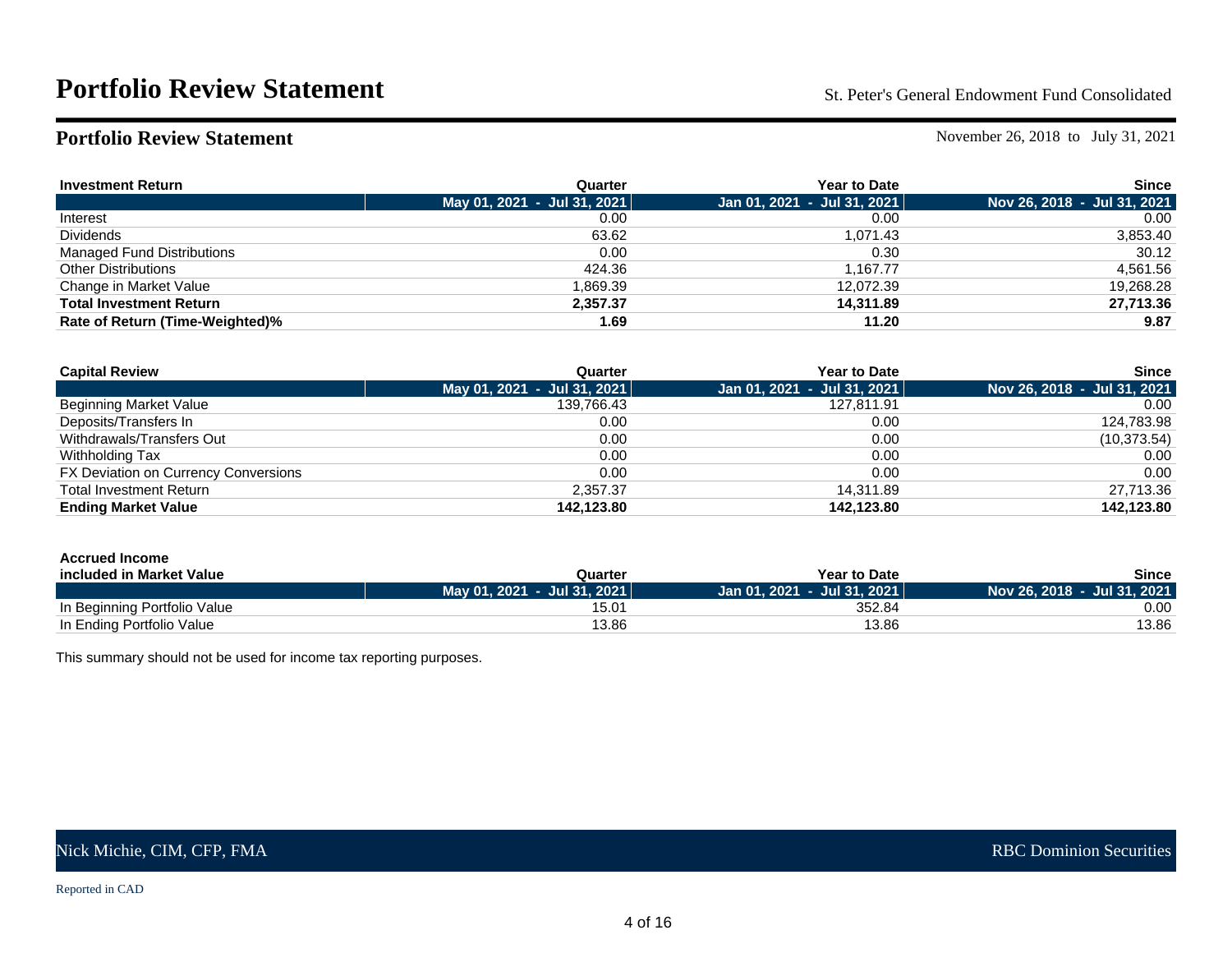<span id="page-5-0"></span>**Portfolio Review Statement** November 26, 2018 to July 31, 2021

| <b>Investment Return</b>          | Quarter                     | <b>Year to Date</b>         | Since                         |
|-----------------------------------|-----------------------------|-----------------------------|-------------------------------|
|                                   | May 01, 2021 - Jul 31, 2021 | Jan 01, 2021 - Jul 31, 2021 | Nov 26, 2018  -  Jul 31, 2021 |
| Interest                          | 0.00                        | 0.00                        | 0.00                          |
| <b>Dividends</b>                  | 63.62                       | 1.071.43                    | 3,853.40                      |
| <b>Managed Fund Distributions</b> | 0.00                        | 0.30                        | 30.12                         |
| <b>Other Distributions</b>        | 424.36                      | 1.167.77                    | 4,561.56                      |
| Change in Market Value            | 1,869.39                    | 12.072.39                   | 19,268.28                     |
| <b>Total Investment Return</b>    | 2,357.37                    | 14.311.89                   | 27,713.36                     |
| Rate of Return (Time-Weighted)%   | 1.69                        | 11.20                       | 9.87                          |

| <b>Capital Review</b>                | Quarter                     | <b>Year to Date</b>         | <b>Since</b>                |
|--------------------------------------|-----------------------------|-----------------------------|-----------------------------|
|                                      | May 01, 2021 - Jul 31, 2021 | Jan 01, 2021 - Jul 31, 2021 | Nov 26, 2018 - Jul 31, 2021 |
| Beginning Market Value               | 139,766.43                  | 127,811.91                  | $0.00\,$                    |
| Deposits/Transfers In                | 0.00                        | 0.00                        | 124.783.98                  |
| Withdrawals/Transfers Out            | 0.00                        | 0.00                        | (10, 373.54)                |
| Withholding Tax                      | 0.00                        | 0.00                        | 0.00                        |
| FX Deviation on Currency Conversions | 0.00                        | 0.00                        | 0.00                        |
| <b>Total Investment Return</b>       | 2.357.37                    | 14.311.89                   | 27,713.36                   |
| <b>Ending Market Value</b>           | 142.123.80                  | 142.123.80                  | 142.123.80                  |

### **Accrued Income**

| included in Market Value     | Quarter                     | <b>Year to Date</b>         | <b>Since</b>                |
|------------------------------|-----------------------------|-----------------------------|-----------------------------|
|                              | May 01, 2021 - Jul 31, 2021 | Jan 01, 2021 - Jul 31, 2021 | Nov 26, 2018 - Jul 31, 2021 |
| In Beginning Portfolio Value | 15.01                       | 352.84                      | 0.00                        |
| In Ending Portfolio Value    | 13.86                       | 13.86                       | 13.86                       |

This summary should not be used for income tax reporting purposes.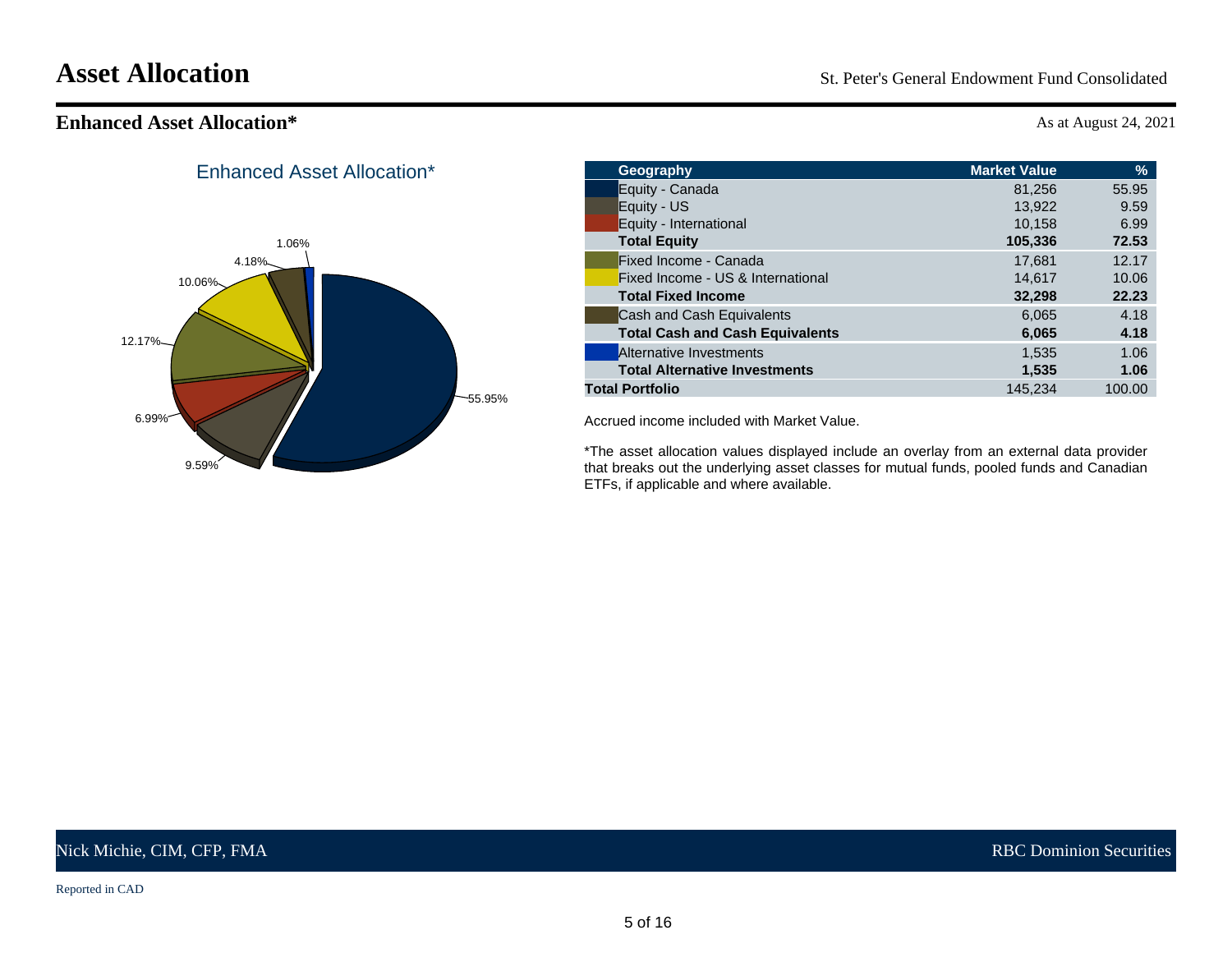# **Enhanced Asset Allocation\*** As at August 24, 2021

<span id="page-6-0"></span>**Asset Allocation** St. Peter's General Endowment Fund Consolidated



Enhanced Asset Allocation\*

| Geography                              | <b>Market Value</b> | $\frac{9}{6}$ |
|----------------------------------------|---------------------|---------------|
| Equity - Canada                        | 81,256              | 55.95         |
| Equity - US                            | 13.922              | 9.59          |
| Equity - International                 | 10,158              | 6.99          |
| <b>Total Equity</b>                    | 105,336             | 72.53         |
| Fixed Income - Canada                  | 17.681              | 12.17         |
| Fixed Income - US & International      | 14,617              | 10.06         |
| <b>Total Fixed Income</b>              | 32,298              | 22.23         |
| Cash and Cash Equivalents              | 6,065               | 4.18          |
| <b>Total Cash and Cash Equivalents</b> | 6,065               | 4.18          |
| Alternative Investments                | 1.535               | 1.06          |
| <b>Total Alternative Investments</b>   | 1,535               | 1.06          |
| <b>Total Portfolio</b>                 | 145.234             | 100.00        |

Accrued income included with Market Value.

\*The asset allocation values displayed include an overlay from an external data provider that breaks out the underlying asset classes for mutual funds, pooled funds and Canadian ETFs, if applicable and where available.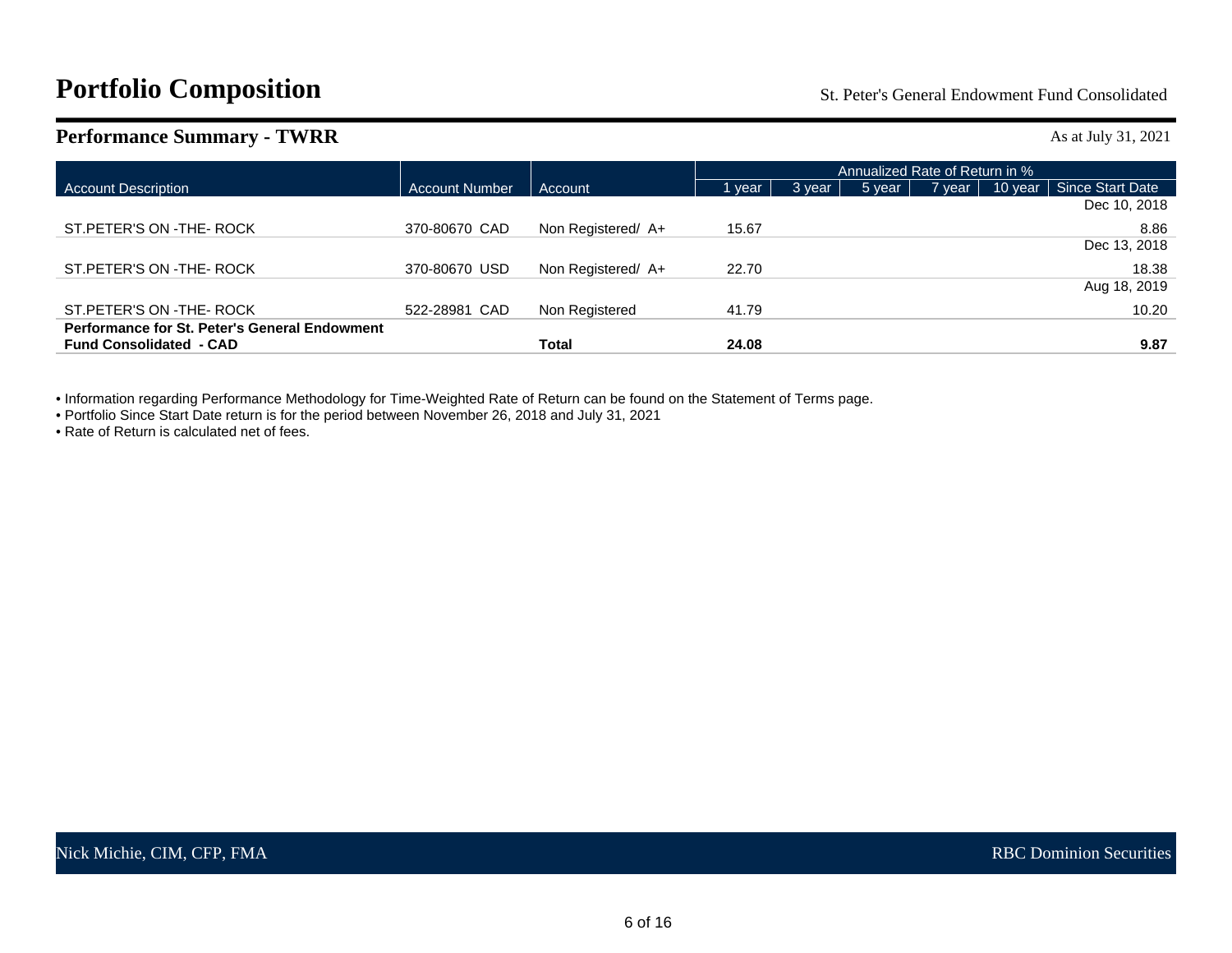# <span id="page-7-0"></span>**Portfolio Composition** St. Peter's General Endowment Fund Consolidated

|                                                      |                       |                    | Annualized Rate of Return in % |        |        |                                        |                         |
|------------------------------------------------------|-----------------------|--------------------|--------------------------------|--------|--------|----------------------------------------|-------------------------|
| <b>Account Description</b>                           | <b>Account Number</b> | Account            | year                           | 3 year | 5 year | $7$ year $\sqrt{ }$ 10 year $\sqrt{ }$ | <b>Since Start Date</b> |
|                                                      |                       |                    |                                |        |        |                                        | Dec 10, 2018            |
| ST.PETER'S ON -THE- ROCK                             | 370-80670 CAD         | Non Registered/ A+ | 15.67                          |        |        |                                        | 8.86                    |
|                                                      |                       |                    |                                |        |        |                                        | Dec 13, 2018            |
| ST.PETER'S ON -THE- ROCK                             | 370-80670 USD         | Non Registered/ A+ | 22.70                          |        |        |                                        | 18.38                   |
|                                                      |                       |                    |                                |        |        |                                        | Aug 18, 2019            |
| ST.PETER'S ON -THE- ROCK                             | 522-28981 CAD         | Non Registered     | 41.79                          |        |        |                                        | 10.20                   |
| <b>Performance for St. Peter's General Endowment</b> |                       |                    |                                |        |        |                                        |                         |
| <b>Fund Consolidated - CAD</b>                       |                       | Total              | 24.08                          |        |        |                                        | 9.87                    |

## **Performance Summary - TWRR** As at July 31, 2021

• Information regarding Performance Methodology for Time-Weighted Rate of Return can be found on the Statement of Terms page.

• Portfolio Since Start Date return is for the period between November 26, 2018 and July 31, 2021

• Rate of Return is calculated net of fees.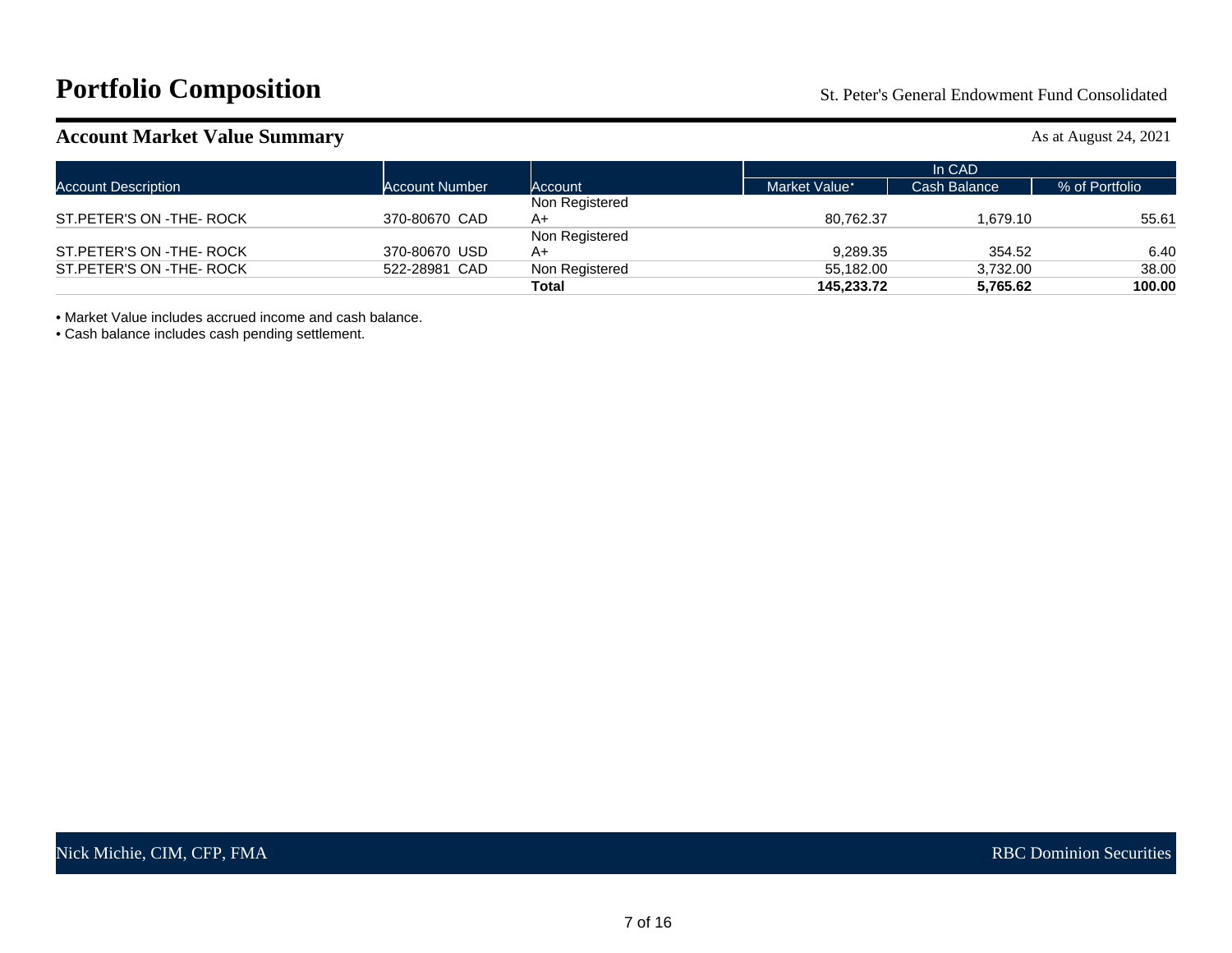# <span id="page-8-0"></span>**Portfolio Composition** St. Peter's General Endowment Fund Consolidated

## **Account Market Value Summary** As at August 24, 2021

|                            |                       |                |                           | In CAD       |                |  |  |  |
|----------------------------|-----------------------|----------------|---------------------------|--------------|----------------|--|--|--|
| <b>Account Description</b> | <b>Account Number</b> | Account        | Market Value <sup>.</sup> | Cash Balance | % of Portfolio |  |  |  |
|                            |                       | Non Registered |                           |              |                |  |  |  |
| ST. PETER'S ON -THE-ROCK   | 370-80670 CAD         | A+             | 80.762.37                 | 1.679.10     | 55.61          |  |  |  |
|                            |                       | Non Registered |                           |              |                |  |  |  |
| ST. PETER'S ON -THE-ROCK   | 370-80670 USD         | A+             | 9.289.35                  | 354.52       | 6.40           |  |  |  |
| ST.PETER'S ON -THE- ROCK   | 522-28981 CAD         | Non Registered | 55.182.00                 | 3,732.00     | 38.00          |  |  |  |
|                            |                       | Total          | 145,233.72                | 5,765.62     | 100.00         |  |  |  |

• Market Value includes accrued income and cash balance.

• Cash balance includes cash pending settlement.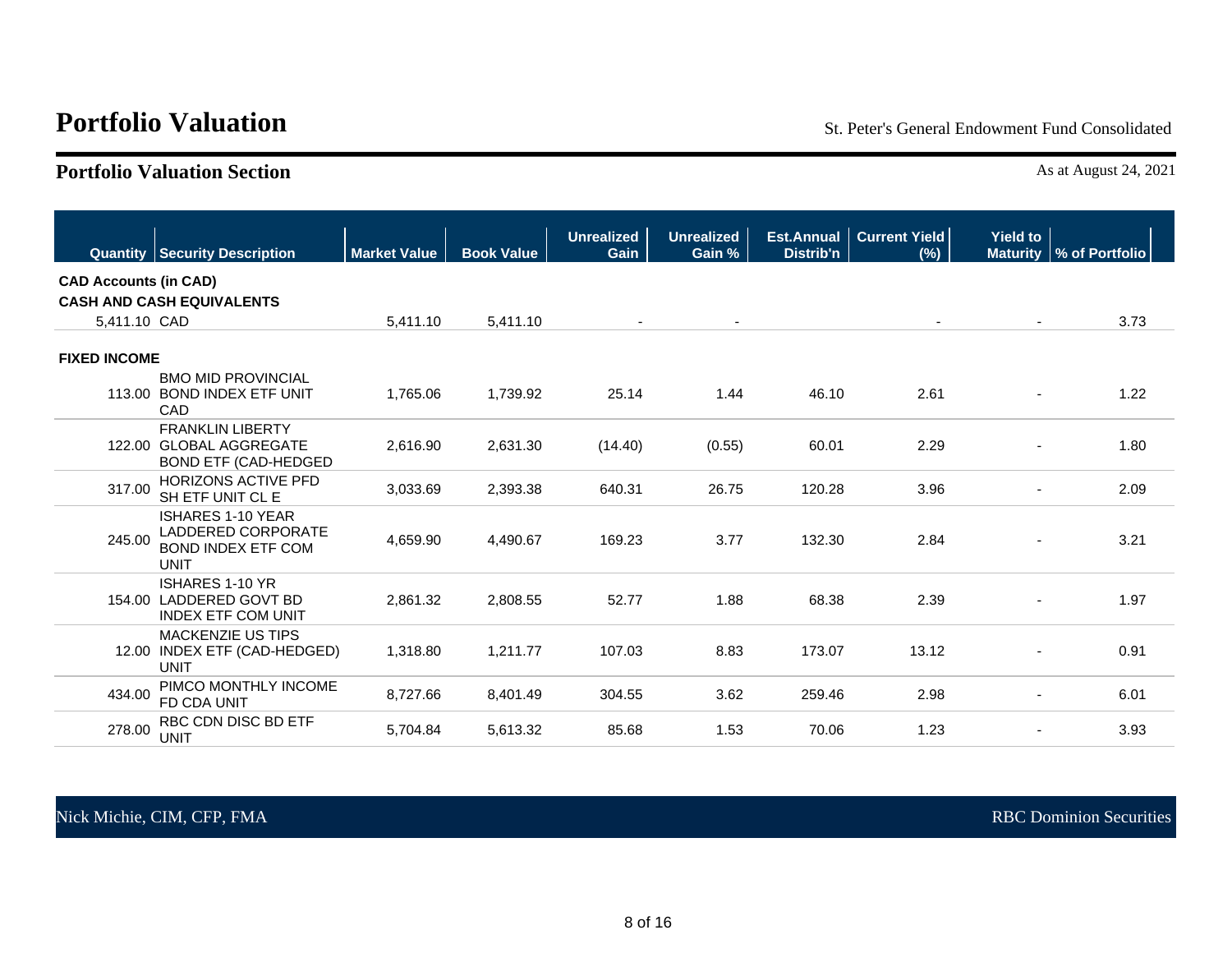# <span id="page-9-0"></span>**Portfolio Valuation** St. Peter's General Endowment Fund Consolidated

**Portfolio Valuation Section** As at August 24, 2021

|                              | Quantity Security Description                                                                     | <b>Market Value</b> | <b>Book Value</b> | <b>Unrealized</b><br>Gain | <b>Unrealized</b><br>Gain % | <b>Est.Annual</b><br>Distrib'n | <b>Current Yield</b><br>(%) | <b>Yield to</b>          | Maturity   % of Portfolio |
|------------------------------|---------------------------------------------------------------------------------------------------|---------------------|-------------------|---------------------------|-----------------------------|--------------------------------|-----------------------------|--------------------------|---------------------------|
| <b>CAD Accounts (in CAD)</b> | <b>CASH AND CASH EQUIVALENTS</b>                                                                  |                     |                   |                           |                             |                                |                             |                          |                           |
| 5,411.10 CAD                 |                                                                                                   | 5,411.10            | 5,411.10          | $\overline{\phantom{a}}$  | $\overline{\phantom{a}}$    |                                | ٠                           | $\blacksquare$           | 3.73                      |
| <b>FIXED INCOME</b>          |                                                                                                   |                     |                   |                           |                             |                                |                             |                          |                           |
|                              | <b>BMO MID PROVINCIAL</b><br>113.00 BOND INDEX ETF UNIT<br>CAD                                    | 1,765.06            | 1,739.92          | 25.14                     | 1.44                        | 46.10                          | 2.61                        |                          | 1.22                      |
|                              | <b>FRANKLIN LIBERTY</b><br>122.00 GLOBAL AGGREGATE<br><b>BOND ETF (CAD-HEDGED</b>                 | 2,616.90            | 2,631.30          | (14.40)                   | (0.55)                      | 60.01                          | 2.29                        |                          | 1.80                      |
| 317.00                       | HORIZONS ACTIVE PFD<br>SH ETF UNIT CL E                                                           | 3,033.69            | 2,393.38          | 640.31                    | 26.75                       | 120.28                         | 3.96                        |                          | 2.09                      |
| 245.00                       | <b>ISHARES 1-10 YEAR</b><br><b>LADDERED CORPORATE</b><br><b>BOND INDEX ETF COM</b><br><b>UNIT</b> | 4,659.90            | 4,490.67          | 169.23                    | 3.77                        | 132.30                         | 2.84                        |                          | 3.21                      |
|                              | ISHARES 1-10 YR<br>154.00 LADDERED GOVT BD<br><b>INDEX ETF COM UNIT</b>                           | 2.861.32            | 2,808.55          | 52.77                     | 1.88                        | 68.38                          | 2.39                        | $\overline{\phantom{a}}$ | 1.97                      |
|                              | <b>MACKENZIE US TIPS</b><br>12.00 INDEX ETF (CAD-HEDGED)<br><b>UNIT</b>                           | 1,318.80            | 1,211.77          | 107.03                    | 8.83                        | 173.07                         | 13.12                       | $\overline{\phantom{a}}$ | 0.91                      |
| 434.00                       | PIMCO MONTHLY INCOME<br>FD CDA UNIT                                                               | 8,727.66            | 8,401.49          | 304.55                    | 3.62                        | 259.46                         | 2.98                        | $\blacksquare$           | 6.01                      |
| 278.00                       | RBC CDN DISC BD ETF<br><b>UNIT</b>                                                                | 5,704.84            | 5,613.32          | 85.68                     | 1.53                        | 70.06                          | 1.23                        |                          | 3.93                      |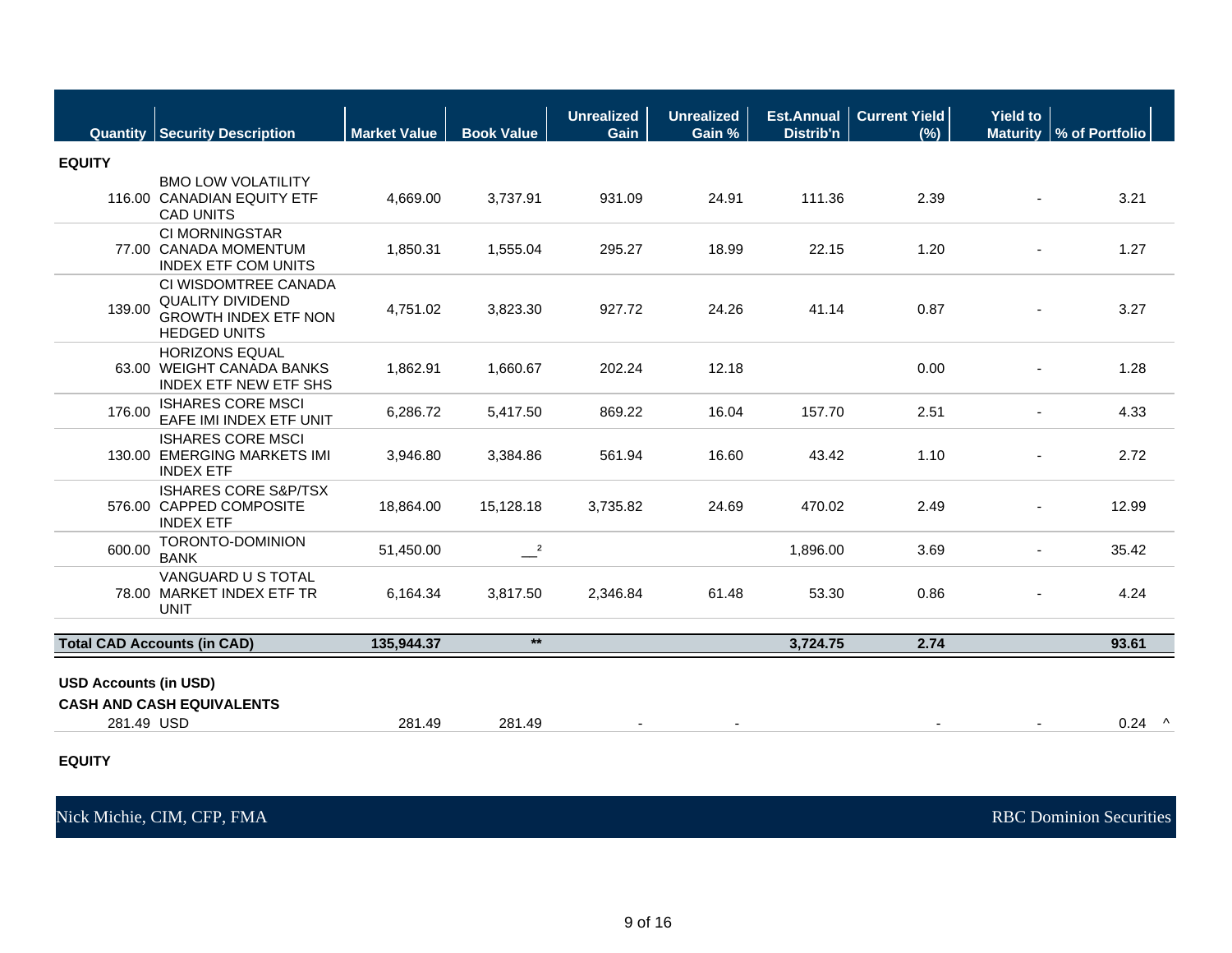|                              | Quantity Security Description                                                                         | <b>Market Value</b> | <b>Book Value</b>          | <b>Unrealized</b><br>Gain | <b>Unrealized</b><br>Gain % | <b>Est.Annual</b><br>Distrib'n | <b>Current Yield</b><br>(%) | <b>Yield to</b>          | Maturity   % of Portfolio |
|------------------------------|-------------------------------------------------------------------------------------------------------|---------------------|----------------------------|---------------------------|-----------------------------|--------------------------------|-----------------------------|--------------------------|---------------------------|
| <b>EQUITY</b>                |                                                                                                       |                     |                            |                           |                             |                                |                             |                          |                           |
|                              | <b>BMO LOW VOLATILITY</b><br>116.00 CANADIAN EQUITY ETF<br><b>CAD UNITS</b>                           | 4,669.00            | 3,737.91                   | 931.09                    | 24.91                       | 111.36                         | 2.39                        |                          | 3.21                      |
|                              | <b>CI MORNINGSTAR</b><br>77.00 CANADA MOMENTUM<br><b>INDEX ETF COM UNITS</b>                          | 1,850.31            | 1,555.04                   | 295.27                    | 18.99                       | 22.15                          | 1.20                        |                          | 1.27                      |
| 139.00                       | CI WISDOMTREE CANADA<br><b>QUALITY DIVIDEND</b><br><b>GROWTH INDEX ETF NON</b><br><b>HEDGED UNITS</b> | 4,751.02            | 3,823.30                   | 927.72                    | 24.26                       | 41.14                          | 0.87                        |                          | 3.27                      |
|                              | <b>HORIZONS EQUAL</b><br>63.00 WEIGHT CANADA BANKS<br><b>INDEX ETF NEW ETF SHS</b>                    | 1,862.91            | 1,660.67                   | 202.24                    | 12.18                       |                                | 0.00                        | $\blacksquare$           | 1.28                      |
| 176.00                       | <b>ISHARES CORE MSCI</b><br>EAFE IMI INDEX ETF UNIT                                                   | 6,286.72            | 5,417.50                   | 869.22                    | 16.04                       | 157.70                         | 2.51                        | $\overline{\phantom{0}}$ | 4.33                      |
|                              | <b>ISHARES CORE MSCI</b><br>130.00 EMERGING MARKETS IMI<br><b>INDEX ETF</b>                           | 3,946.80            | 3,384.86                   | 561.94                    | 16.60                       | 43.42                          | 1.10                        | ä,                       | 2.72                      |
|                              | <b>ISHARES CORE S&amp;P/TSX</b><br>576.00 CAPPED COMPOSITE<br><b>INDEX ETF</b>                        | 18,864.00           | 15,128.18                  | 3,735.82                  | 24.69                       | 470.02                         | 2.49                        |                          | 12.99                     |
| 600.00                       | TORONTO-DOMINION<br><b>BANK</b>                                                                       | 51,450.00           | $\overline{\phantom{a}}^2$ |                           |                             | 1,896.00                       | 3.69                        | $\blacksquare$           | 35.42                     |
|                              | VANGUARD U S TOTAL<br>78.00 MARKET INDEX ETF TR<br><b>UNIT</b>                                        | 6,164.34            | 3,817.50                   | 2,346.84                  | 61.48                       | 53.30                          | 0.86                        |                          | 4.24                      |
|                              | <b>Total CAD Accounts (in CAD)</b>                                                                    | 135,944.37          | $\star\star$               |                           |                             | 3,724.75                       | 2.74                        |                          | 93.61                     |
| <b>USD Accounts (in USD)</b> | <b>CASH AND CASH EQUIVALENTS</b>                                                                      |                     |                            |                           |                             |                                |                             |                          |                           |
| 281.49 USD                   |                                                                                                       | 281.49              | 281.49                     |                           |                             |                                |                             |                          | $0.24$ ^                  |

## **EQUITY**

Nick Michie, CIM, CFP, FMA RBC Dominion Securities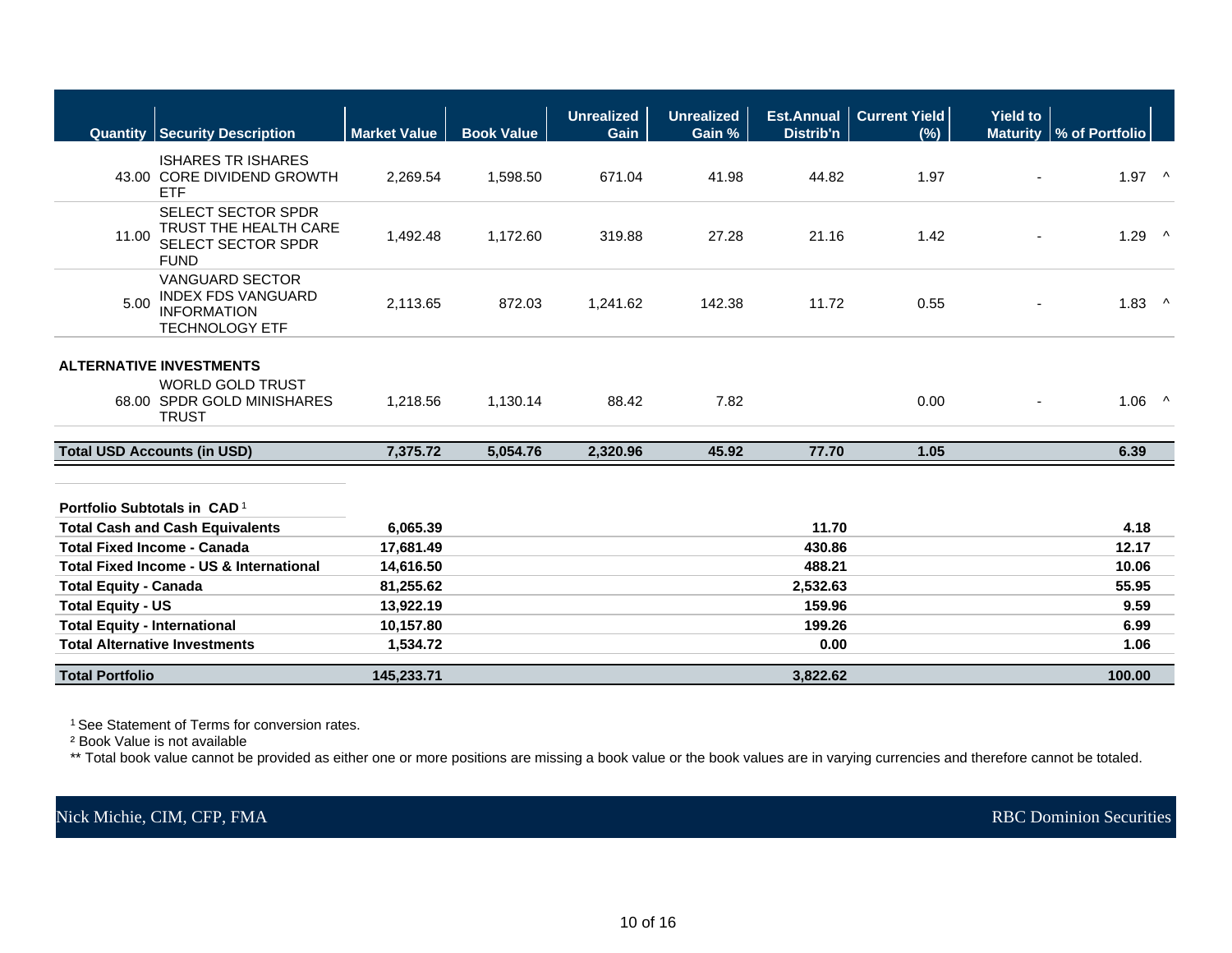|                                     | <b>Quantity   Security Description</b>                                                             | <b>Market Value</b> | <b>Book Value</b> | <b>Unrealized</b><br>Gain | <b>Unrealized</b><br>Gain % | Distrib'n | Est.Annual   Current Yield<br>(%) | <b>Yield to</b> | Maturity   % of Portfolio |  |  |
|-------------------------------------|----------------------------------------------------------------------------------------------------|---------------------|-------------------|---------------------------|-----------------------------|-----------|-----------------------------------|-----------------|---------------------------|--|--|
|                                     | <b>ISHARES TR ISHARES</b><br>43.00 CORE DIVIDEND GROWTH<br><b>ETF</b>                              | 2,269.54            | 1,598.50          | 671.04                    | 41.98                       | 44.82     | 1.97                              |                 | $1.97 \sim$               |  |  |
| 11.00                               | SELECT SECTOR SPDR<br>TRUST THE HEALTH CARE<br><b>SELECT SECTOR SPDR</b><br><b>FUND</b>            | 1,492.48            | 1,172.60          | 319.88                    | 27.28                       | 21.16     | 1.42                              |                 | $1.29$ ^                  |  |  |
| 5.00                                | <b>VANGUARD SECTOR</b><br><b>INDEX FDS VANGUARD</b><br><b>INFORMATION</b><br><b>TECHNOLOGY ETF</b> | 2,113.65            | 872.03            | 1,241.62                  | 142.38                      | 11.72     | 0.55                              | $\blacksquare$  | $1.83 \cdot \wedge$       |  |  |
|                                     | <b>ALTERNATIVE INVESTMENTS</b>                                                                     |                     |                   |                           |                             |           |                                   |                 |                           |  |  |
|                                     | <b>WORLD GOLD TRUST</b><br>68.00 SPDR GOLD MINISHARES<br><b>TRUST</b>                              | 1,218.56            | 1,130.14          | 88.42                     | 7.82                        |           | 0.00                              |                 | $1.06$ ^                  |  |  |
|                                     | <b>Total USD Accounts (in USD)</b>                                                                 | 7,375.72            | 5,054.76          | 2,320.96                  | 45.92                       | 77.70     | 1.05                              |                 | 6.39                      |  |  |
|                                     | Portfolio Subtotals in CAD <sup>1</sup>                                                            | 6,065.39            |                   |                           |                             | 11.70     |                                   |                 | 4.18                      |  |  |
|                                     | <b>Total Cash and Cash Equivalents</b><br><b>Total Fixed Income - Canada</b>                       | 17,681.49           |                   |                           |                             | 430.86    |                                   |                 | 12.17                     |  |  |
|                                     | <b>Total Fixed Income - US &amp; International</b>                                                 | 14,616.50           |                   |                           |                             | 488.21    |                                   |                 | 10.06                     |  |  |
| <b>Total Equity - Canada</b>        |                                                                                                    | 81,255.62           |                   |                           |                             | 2,532.63  | 55.95                             |                 |                           |  |  |
| <b>Total Equity - US</b>            |                                                                                                    | 13,922.19           |                   |                           |                             |           | 9.59                              |                 |                           |  |  |
| <b>Total Equity - International</b> |                                                                                                    | 10,157.80           |                   |                           |                             | 199.26    |                                   |                 | 6.99                      |  |  |
|                                     | <b>Total Alternative Investments</b>                                                               | 1,534.72            |                   |                           |                             | 1.06      |                                   |                 |                           |  |  |
| <b>Total Portfolio</b>              |                                                                                                    | 145,233.71          |                   |                           |                             | 3,822.62  |                                   |                 | 100.00                    |  |  |

<sup>1</sup> See Statement of Terms for conversion rates.

² Book Value is not available

\*\* Total book value cannot be provided as either one or more positions are missing a book value or the book values are in varying currencies and therefore cannot be totaled.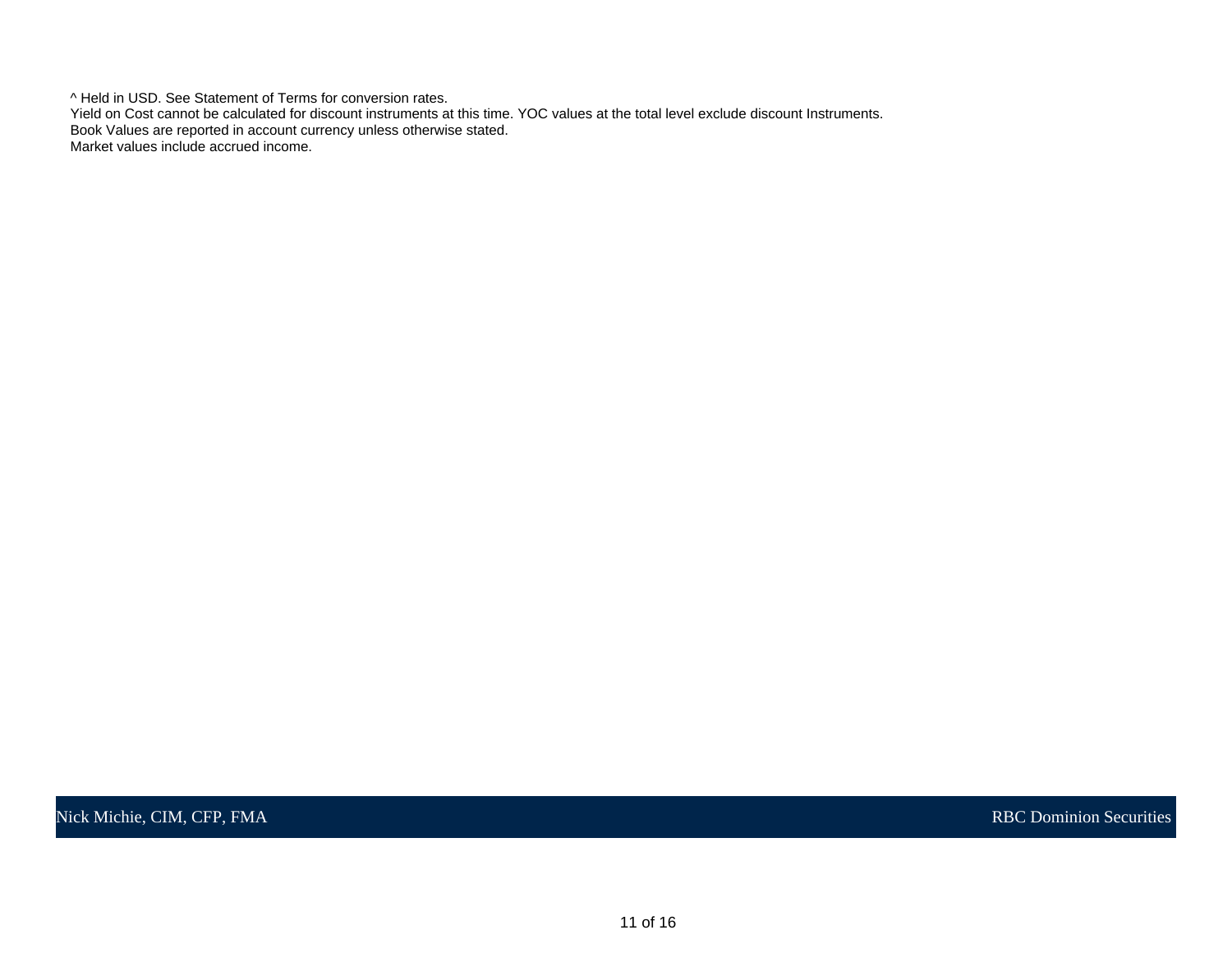^ Held in USD. See Statement of Terms for conversion rates.

Yield on Cost cannot be calculated for discount instruments at this time. YOC values at the total level exclude discount Instruments. Book Values are reported in account currency unless otherwise stated. Market values include accrued income.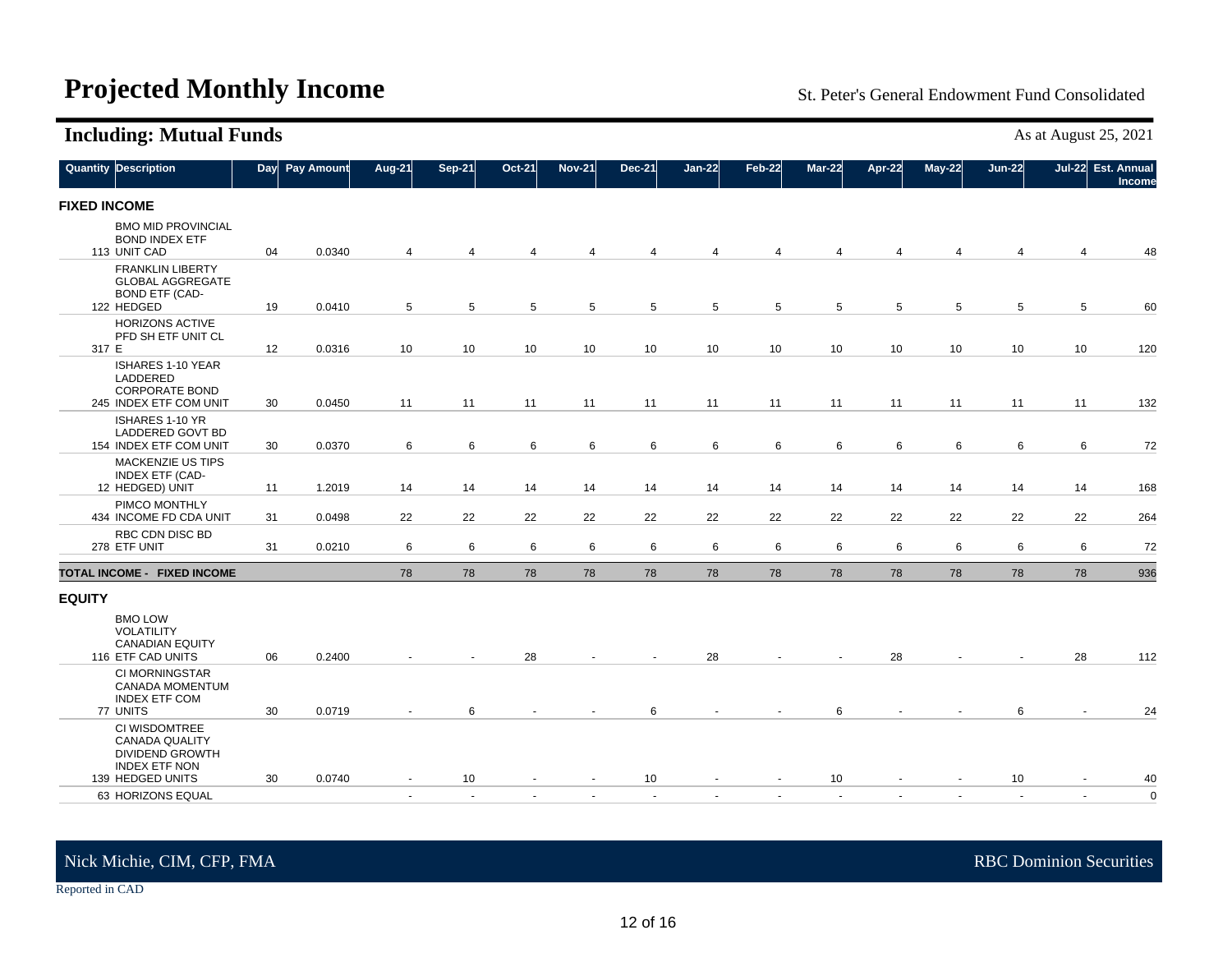# <span id="page-13-0"></span>**Projected Monthly Income** St. Peter's General Endowment Fund Consolidated

**Including: Mutual Funds** As at August 25, 2021

| <b>Quantity Description</b>                                                                  | <b>Day</b> | <b>Pay Amount</b> | <b>Aug-21</b> | <b>Sep-21</b>  | <b>Oct-21</b> | <b>Nov-21</b>  | <b>Dec-21</b> | <b>Jan-22</b>  | <b>Feb-22</b> | Mar-22       | Apr-22         | May-22         | <b>Jun-22</b>  |                 | Jul-22 Est. Annual<br>Income |
|----------------------------------------------------------------------------------------------|------------|-------------------|---------------|----------------|---------------|----------------|---------------|----------------|---------------|--------------|----------------|----------------|----------------|-----------------|------------------------------|
| <b>FIXED INCOME</b>                                                                          |            |                   |               |                |               |                |               |                |               |              |                |                |                |                 |                              |
| <b>BMO MID PROVINCIAL</b><br><b>BOND INDEX ETF</b><br>113 UNIT CAD                           | 04         | 0.0340            | 4             | $\overline{4}$ | 4             | $\overline{4}$ | 4             | $\overline{4}$ | 4             | 4            | $\overline{4}$ | $\overline{4}$ | $\overline{4}$ | 4               | 48                           |
| <b>FRANKLIN LIBERTY</b><br><b>GLOBAL AGGREGATE</b><br><b>BOND ETF (CAD-</b><br>122 HEDGED    | 19         | 0.0410            | 5             | 5              | 5             | 5              | 5             | 5              | 5             | 5            | 5              | 5              | 5              | $5\phantom{.0}$ | 60                           |
| <b>HORIZONS ACTIVE</b><br>PFD SH ETF UNIT CL<br>317 E                                        | 12         | 0.0316            | 10            | 10             | 10            | 10             | 10            | 10             | 10            | 10           | 10             | 10             | 10             | 10              | 120                          |
| <b>ISHARES 1-10 YEAR</b><br>LADDERED<br><b>CORPORATE BOND</b><br>245 INDEX ETF COM UNIT      | 30         | 0.0450            | 11            | 11             | 11            | 11             | 11            | 11             | 11            | 11           | 11             | 11             | 11             | 11              | 132                          |
| ISHARES 1-10 YR<br><b>LADDERED GOVT BD</b><br>154 INDEX ETF COM UNIT                         | 30         | 0.0370            | 6             | 6              | 6             | 6              | 6             | 6              | 6             | 6            | 6              | 6              | 6              | 6               | 72                           |
| <b>MACKENZIE US TIPS</b><br><b>INDEX ETF (CAD-</b><br>12 HEDGED) UNIT                        | 11         | 1.2019            | 14            | 14             | 14            | 14             | 14            | 14             | 14            | 14           | 14             | 14             | 14             | 14              | 168                          |
| PIMCO MONTHLY<br>434 INCOME FD CDA UNIT                                                      | 31         | 0.0498            | 22            | 22             | 22            | 22             | 22            | 22             | 22            | 22           | 22             | 22             | 22             | 22              | 264                          |
| RBC CDN DISC BD<br>278 ETF UNIT                                                              | 31         | 0.0210            | 6             | 6              | 6             | 6              | 6             | 6              | 6             | 6            | 6              | 6              | 6              | 6               | 72                           |
| <b>TOTAL INCOME - FIXED INCOME</b>                                                           |            |                   | 78            | 78             | 78            | 78             | 78            | 78             | 78            | 78           | 78             | 78             | 78             | 78              | 936                          |
| <b>EQUITY</b><br><b>BMO LOW</b><br>VOLATILITY<br><b>CANADIAN EQUITY</b><br>116 ETF CAD UNITS | 06         | 0.2400            |               |                | 28            |                |               | 28             |               |              | 28             |                |                | 28              | 112                          |
| <b>CI MORNINGSTAR</b><br><b>CANADA MOMENTUM</b><br><b>INDEX ETF COM</b><br>77 UNITS          | 30         | 0.0719            |               | 6              |               |                | 6             |                |               | 6            |                |                | 6              | $\sim$          | 24                           |
| CI WISDOMTREE<br><b>CANADA QUALITY</b><br><b>DIVIDEND GROWTH</b><br><b>INDEX ETF NON</b>     |            |                   |               |                |               |                |               |                |               |              |                |                |                |                 |                              |
| 139 HEDGED UNITS<br>63 HORIZONS EQUAL                                                        | 30         | 0.0740            | ÷.            | 10<br>$\sim$   | $\sim$        | $\sim$         | 10<br>$\sim$  | $\sim$         | $\sim$        | 10<br>$\sim$ |                | $\sim$         | 10<br>$\sim$   | $\sim$          | 40<br>$\mathbf 0$            |
|                                                                                              |            |                   |               |                |               |                |               |                |               |              |                |                |                |                 |                              |

Nick Michie, CIM, CFP, FMA RBC Dominion Securities

Reported in CAD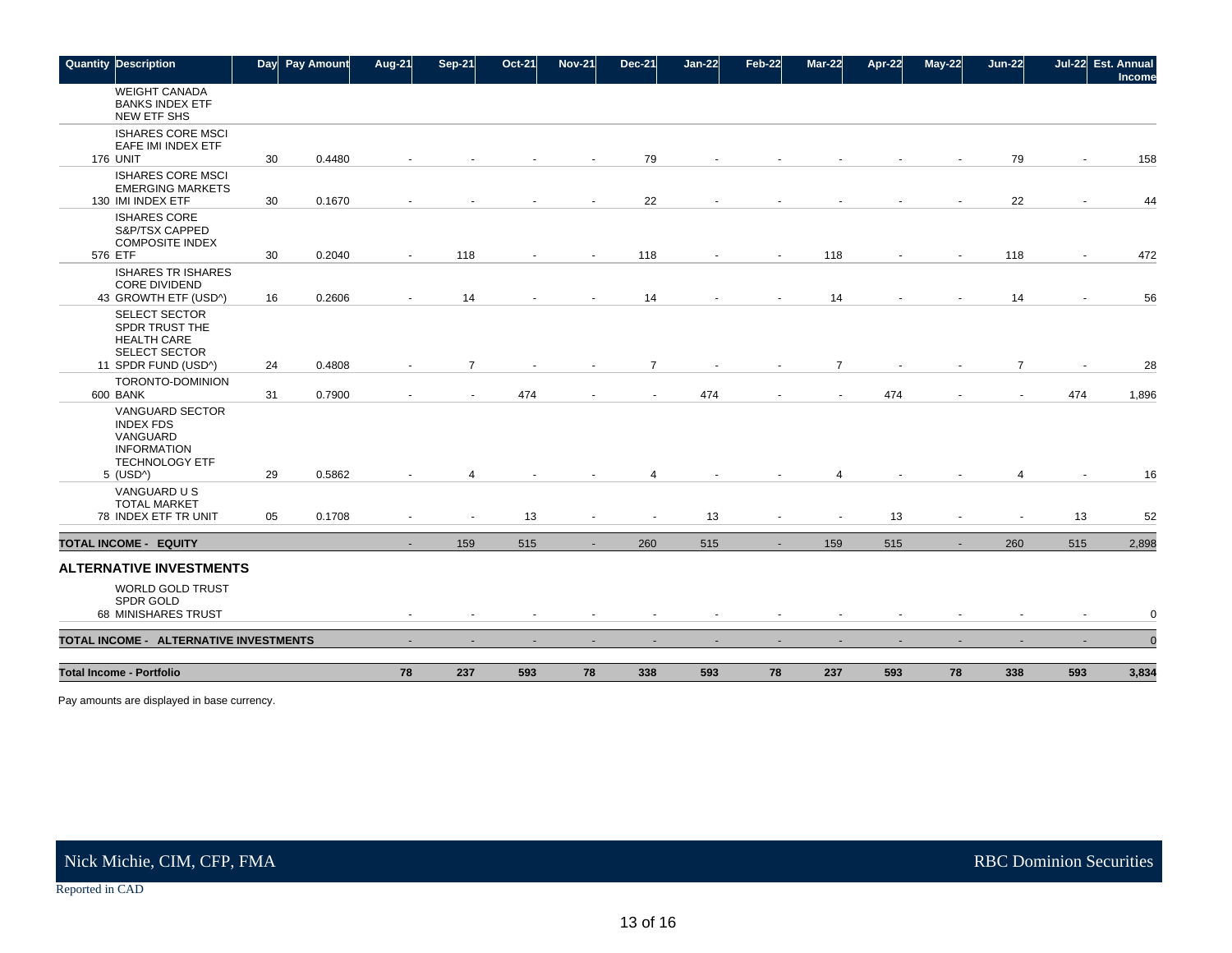| <b>Quantity Description</b>                                                                                 |  | Day | <b>Pay Amount</b> | <b>Aug-21</b> | <b>Sep-21</b>  | <b>Oct-21</b> | <b>Nov-21</b>  | <b>Dec-21</b>            | <b>Jan-22</b> | <b>Feb-22</b> | Mar-22         | Apr-22 | <b>May-22</b> | <b>Jun-22</b>  |                          | Jul-22 Est. Annual<br>Income |
|-------------------------------------------------------------------------------------------------------------|--|-----|-------------------|---------------|----------------|---------------|----------------|--------------------------|---------------|---------------|----------------|--------|---------------|----------------|--------------------------|------------------------------|
| <b>WEIGHT CANADA</b><br><b>BANKS INDEX ETF</b><br>NEW ETF SHS                                               |  |     |                   |               |                |               |                |                          |               |               |                |        |               |                |                          |                              |
| <b>ISHARES CORE MSCI</b><br>EAFE IMI INDEX ETF<br>176 UNIT                                                  |  | 30  | 0.4480            |               |                |               | $\blacksquare$ | 79                       |               |               |                |        |               | 79             |                          | 158<br>$\sim$                |
| <b>ISHARES CORE MSCI</b><br><b>EMERGING MARKETS</b><br>130 IMI INDEX ETF                                    |  | 30  | 0.1670            |               |                |               | $\blacksquare$ | 22                       |               |               |                |        |               | 22             |                          | 44                           |
| <b>ISHARES CORE</b><br>S&P/TSX CAPPED<br><b>COMPOSITE INDEX</b><br>576 ETF                                  |  | 30  | 0.2040            |               | 118            |               |                | 118                      |               |               | 118            |        |               | 118            | $\overline{\phantom{a}}$ | 472                          |
| <b>ISHARES TR ISHARES</b><br><b>CORE DIVIDEND</b><br>43 GROWTH ETF (USD^)                                   |  | 16  | 0.2606            |               | 14             |               |                | 14                       |               |               | 14             |        |               | 14             |                          | 56                           |
| <b>SELECT SECTOR</b><br>SPDR TRUST THE<br><b>HEALTH CARE</b><br><b>SELECT SECTOR</b><br>11 SPDR FUND (USD^) |  | 24  | 0.4808            |               | $\overline{7}$ |               |                | $\overline{7}$           |               |               | $\overline{7}$ |        |               | $\overline{7}$ |                          | 28                           |
| TORONTO-DOMINION<br>600 BANK                                                                                |  | 31  | 0.7900            |               | $\sim$         | 474           |                | $\overline{\phantom{a}}$ | 474           |               |                | 474    |               |                | 474                      | 1,896                        |
| VANGUARD SECTOR<br><b>INDEX FDS</b><br>VANGUARD<br><b>INFORMATION</b><br><b>TECHNOLOGY ETF</b><br>5 (USD^)  |  | 29  | 0.5862            |               | $\overline{4}$ |               |                | 4                        |               |               |                |        |               |                |                          | 16                           |
| VANGUARD U S<br><b>TOTAL MARKET</b><br>78 INDEX ETF TR UNIT                                                 |  | 05  | 0.1708            |               |                | 13            |                |                          | 13            |               |                | 13     |               |                | 13                       | 52                           |
| <b>TOTAL INCOME - EQUITY</b>                                                                                |  |     |                   | $\sim$        | 159            | 515           | $\sim$         | 260                      | 515           | $\sim$        | 159            | 515    | $\sim$        | 260            | 515                      | 2,898                        |
| <b>ALTERNATIVE INVESTMENTS</b><br><b>WORLD GOLD TRUST</b><br><b>SPDR GOLD</b><br>68 MINISHARES TRUST        |  |     |                   |               |                |               |                |                          |               |               |                |        |               |                |                          | $\Omega$                     |
| TOTAL INCOME - ALTERNATIVE INVESTMENTS                                                                      |  |     |                   |               |                | ÷             |                |                          |               |               |                |        |               |                |                          | $\Omega$                     |
| <b>Total Income - Portfolio</b>                                                                             |  |     |                   | 78            | 237            | 593           | 78             | 338                      | 593           | 78            | 237            | 593    | 78            | 338            | 593                      | 3,834                        |

Pay amounts are displayed in base currency.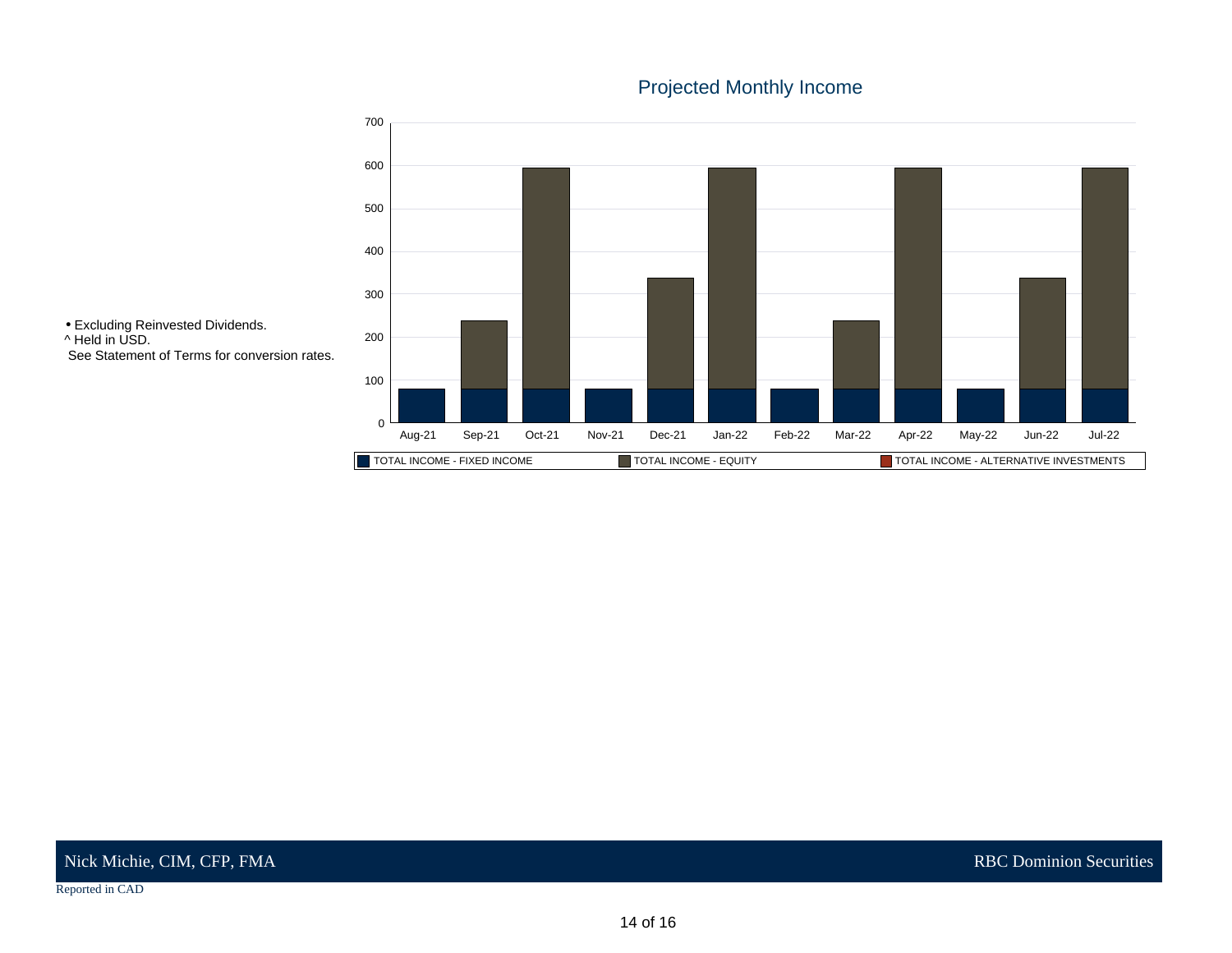# 700 600 500 400 300 200 100  $\Omega$ Aug-21 Sep-21 Oct-21 Nov-21 Dec-21 Jan-22 Feb-22 Mar-22 Apr-22 May-22 Jun-22 Jul-22 TOTAL INCOME - FIXED INCOME TOTAL INCOME - EQUITY TOTAL INCOME - ALTERNATIVE INVESTMENTS IГ



• Excluding Reinvested Dividends. ^ Held in USD.

See Statement of Terms for conversion rates.

Nick Michie, CIM, CFP, FMA RBC Dominion Securities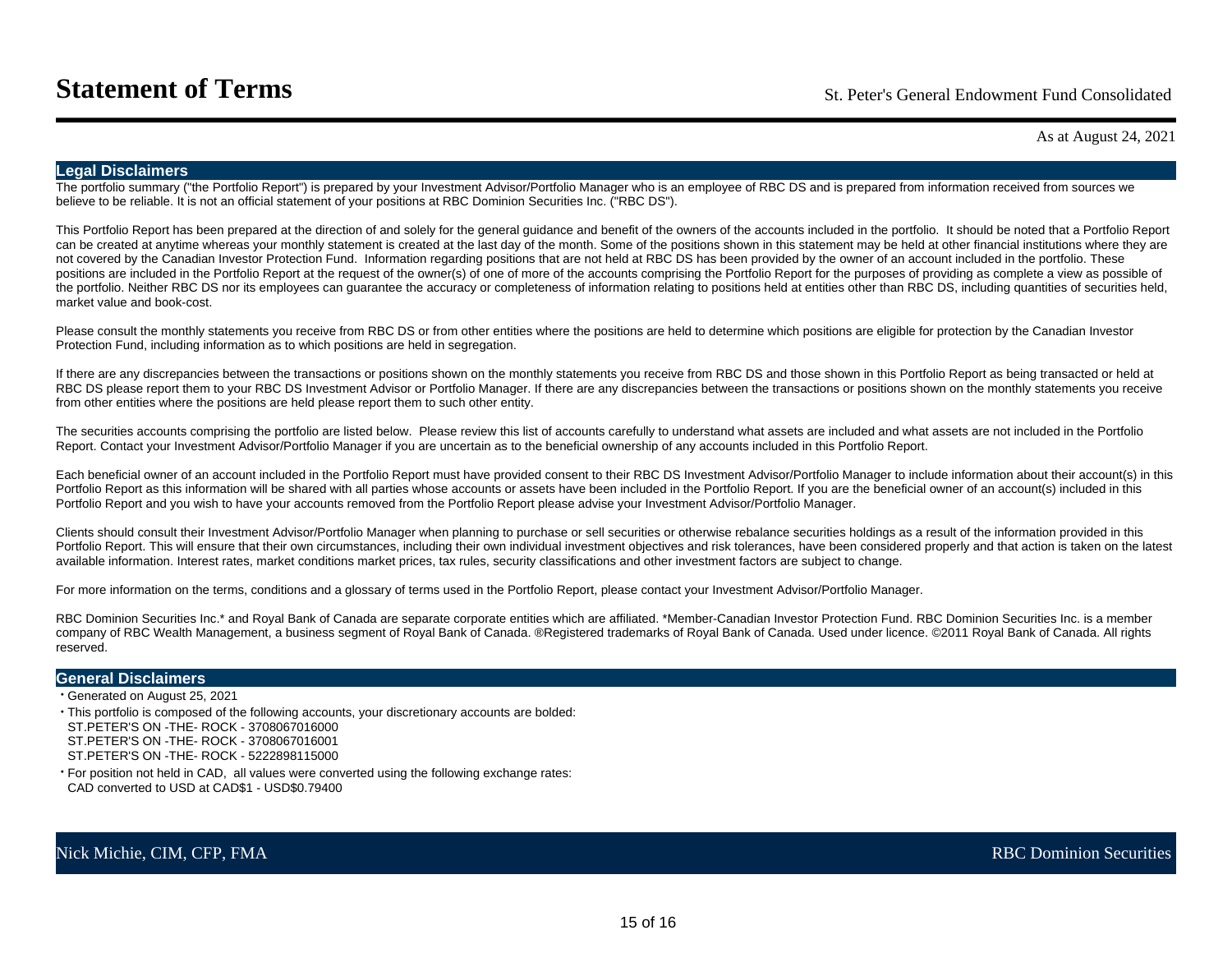As at August 24, 2021

### <span id="page-16-0"></span>**Legal Disclaimers**

The portfolio summary ("the Portfolio Report") is prepared by your Investment Advisor/Portfolio Manager who is an employee of RBC DS and is prepared from information received from sources we believe to be reliable. It is not an official statement of your positions at RBC Dominion Securities Inc. ("RBC DS").

This Portfolio Report has been prepared at the direction of and solely for the general guidance and benefit of the owners of the accounts included in the portfolio. It should be noted that a Portfolio Report can be created at anytime whereas your monthly statement is created at the last day of the month. Some of the positions shown in this statement may be held at other financial institutions where they are not covered by the Canadian Investor Protection Fund. Information regarding positions that are not held at RBC DS has been provided by the owner of an account included in the portfolio. These positions are included in the Portfolio Report at the request of the owner(s) of one of more of the accounts comprising the Portfolio Report for the purposes of providing as complete a view as possible of the portfolio. Neither RBC DS nor its employees can guarantee the accuracy or completeness of information relating to positions held at entities other than RBC DS, including quantities of securities held, market value and book-cost.

Please consult the monthly statements you receive from RBC DS or from other entities where the positions are held to determine which positions are eligible for protection by the Canadian Investor Protection Fund, including information as to which positions are held in segregation.

If there are any discrepancies between the transactions or positions shown on the monthly statements you receive from RBC DS and those shown in this Portfolio Report as being transacted or held at RBC DS please report them to your RBC DS Investment Advisor or Portfolio Manager. If there are any discrepancies between the transactions or positions shown on the monthly statements you receive from other entities where the positions are held please report them to such other entity.

The securities accounts comprising the portfolio are listed below. Please review this list of accounts carefully to understand what assets are included and what assets are not included in the Portfolio Report. Contact your Investment Advisor/Portfolio Manager if you are uncertain as to the beneficial ownership of any accounts included in this Portfolio Report.

Each beneficial owner of an account included in the Portfolio Report must have provided consent to their RBC DS Investment Advisor/Portfolio Manager to include information about their account(s) in this Portfolio Report as this information will be shared with all parties whose accounts or assets have been included in the Portfolio Report. If you are the beneficial owner of an account(s) included in this Portfolio Report and you wish to have your accounts removed from the Portfolio Report please advise your Investment Advisor/Portfolio Manager.

Clients should consult their Investment Advisor/Portfolio Manager when planning to purchase or sell securities or otherwise rebalance securities holdings as a result of the information provided in this Portfolio Report. This will ensure that their own circumstances, including their own individual investment objectives and risk tolerances, have been considered properly and that action is taken on the latest available information. Interest rates, market conditions market prices, tax rules, security classifications and other investment factors are subject to change.

For more information on the terms, conditions and a glossary of terms used in the Portfolio Report, please contact your Investment Advisor/Portfolio Manager.

RBC Dominion Securities Inc.\* and Royal Bank of Canada are separate corporate entities which are affiliated. \*Member-Canadian Investor Protection Fund. RBC Dominion Securities Inc. is a member company of RBC Wealth Management, a business segment of Royal Bank of Canada. ®Registered trademarks of Royal Bank of Canada. Used under licence. ©2011 Royal Bank of Canada. All rights reserved.

### **General Disclaimers**

• Generated on August 25, 2021

- This portfolio is composed of the following accounts, your discretionary accounts are bolded: ST.PETER'S ON -THE- ROCK - 3708067016000 ST.PETER'S ON -THE- ROCK - 3708067016001 ST.PETER'S ON -THE- ROCK - 5222898115000
- For position not held in CAD, all values were converted using the following exchange rates: CAD converted to USD at CAD\$1 - USD\$0.79400